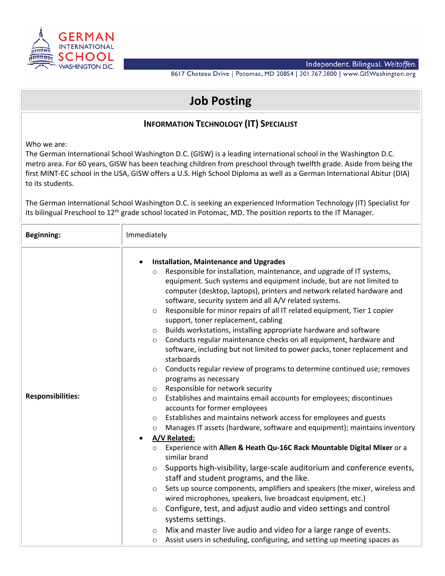

8617 Chateau Drive | Potomac, MD 20854 | 301.767.3800 | www.GISWashington.org

## **Job Posting**

## **INFORMATION TECHNOLOGY (IT) SPECIALIST**

Who we are:

The German International School Washington D.C. (GISW) is a leading international school in the Washington D.C. metro area. For 60 years, GISW has been teaching children from preschool through twelfth grade. Aside from being the first MINT-EC school in the USA, GISW offers a U.S. High School Diploma as well as a German International Abitur (DIA) to its students.

The German International School Washington D.C. is seeking an experienced Information Technology (IT) Specialist for its bilingual Preschool to 12<sup>th</sup> grade school located in Potomac, MD. The position reports to the IT Manager.

| <b>Beginning:</b>        | Immediately                                                                                                                                                                                                                                                                                                                                                                                                                                                                                                                                                                                                                                                                                                                                                                                                                                                                                                                                                                                                                                                                                                                                                                                                                                                                                                                                                                                                                                                                                                                                                                                                                                                                                                                                                                                                                                                                                      |
|--------------------------|--------------------------------------------------------------------------------------------------------------------------------------------------------------------------------------------------------------------------------------------------------------------------------------------------------------------------------------------------------------------------------------------------------------------------------------------------------------------------------------------------------------------------------------------------------------------------------------------------------------------------------------------------------------------------------------------------------------------------------------------------------------------------------------------------------------------------------------------------------------------------------------------------------------------------------------------------------------------------------------------------------------------------------------------------------------------------------------------------------------------------------------------------------------------------------------------------------------------------------------------------------------------------------------------------------------------------------------------------------------------------------------------------------------------------------------------------------------------------------------------------------------------------------------------------------------------------------------------------------------------------------------------------------------------------------------------------------------------------------------------------------------------------------------------------------------------------------------------------------------------------------------------------|
| <b>Responsibilities:</b> | <b>Installation, Maintenance and Upgrades</b><br>Responsible for installation, maintenance, and upgrade of IT systems,<br>$\circ$<br>equipment. Such systems and equipment include, but are not limited to<br>computer (desktop, laptops), printers and network related hardware and<br>software, security system and all A/V related systems.<br>Responsible for minor repairs of all IT related equipment, Tier 1 copier<br>$\circ$<br>support, toner replacement, cabling<br>Builds workstations, installing appropriate hardware and software<br>$\circ$<br>Conducts regular maintenance checks on all equipment, hardware and<br>$\circ$<br>software, including but not limited to power packs, toner replacement and<br>starboards<br>Conducts regular review of programs to determine continued use; removes<br>$\circ$<br>programs as necessary<br>Responsible for network security<br>$\circ$<br>Establishes and maintains email accounts for employees; discontinues<br>$\circ$<br>accounts for former employees<br>Establishes and maintains network access for employees and guests<br>$\circ$<br>Manages IT assets (hardware, software and equipment); maintains inventory<br>$\circ$<br>A/V Related:<br>Experience with Allen & Heath Qu-16C Rack Mountable Digital Mixer or a<br>$\circ$<br>similar brand<br>Supports high-visibility, large-scale auditorium and conference events,<br>$\circ$<br>staff and student programs, and the like.<br>Sets up source components, amplifiers and speakers (the mixer, wireless and<br>$\circ$<br>wired microphones, speakers, live broadcast equipment, etc.)<br>Configure, test, and adjust audio and video settings and control<br>$\circ$<br>systems settings.<br>Mix and master live audio and video for a large range of events.<br>$\circ$<br>Assist users in scheduling, configuring, and setting up meeting spaces as<br>$\circ$ |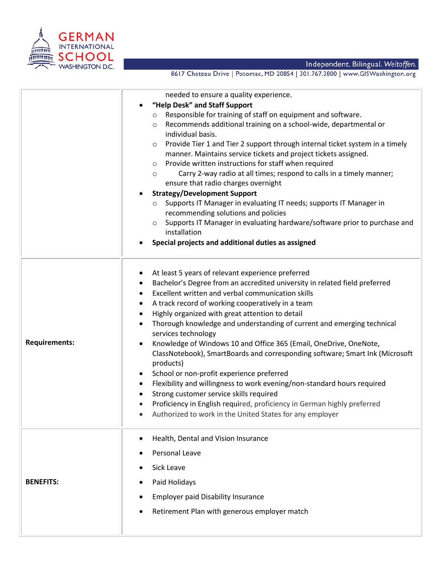

Independent. Bilingual. Weltoffen.<br>8617 Chateau Drive | Potomac, MD 20854 | 301.767.3800 | www.GISWashington.org

|                      | needed to ensure a quality experience.                                                                           |
|----------------------|------------------------------------------------------------------------------------------------------------------|
|                      | "Help Desk" and Staff Support<br>$\bullet$                                                                       |
|                      | Responsible for training of staff on equipment and software.<br>O                                                |
|                      | Recommends additional training on a school-wide, departmental or<br>O                                            |
|                      | individual basis.                                                                                                |
|                      | Provide Tier 1 and Tier 2 support through internal ticket system in a timely<br>$\circ$                          |
|                      | manner. Maintains service tickets and project tickets assigned.                                                  |
|                      | Provide written instructions for staff when required<br>$\circ$                                                  |
|                      | Carry 2-way radio at all times; respond to calls in a timely manner;<br>$\circ$                                  |
|                      | ensure that radio charges overnight                                                                              |
|                      | <b>Strategy/Development Support</b>                                                                              |
|                      | Supports IT Manager in evaluating IT needs; supports IT Manager in<br>$\circ$                                    |
|                      | recommending solutions and policies<br>Supports IT Manager in evaluating hardware/software prior to purchase and |
|                      | $\circ$<br>installation                                                                                          |
|                      | Special projects and additional duties as assigned                                                               |
|                      |                                                                                                                  |
|                      |                                                                                                                  |
|                      | At least 5 years of relevant experience preferred<br>٠                                                           |
|                      | Bachelor's Degree from an accredited university in related field preferred<br>$\bullet$                          |
|                      | Excellent written and verbal communication skills<br>٠                                                           |
|                      | A track record of working cooperatively in a team<br>٠                                                           |
|                      | Highly organized with great attention to detail<br>$\bullet$                                                     |
| <b>Requirements:</b> | Thorough knowledge and understanding of current and emerging technical<br>$\bullet$<br>services technology       |
|                      | Knowledge of Windows 10 and Office 365 (Email, OneDrive, OneNote,<br>$\bullet$                                   |
|                      | ClassNotebook), SmartBoards and corresponding software; Smart Ink (Microsoft                                     |
|                      | products)                                                                                                        |
|                      | School or non-profit experience preferred<br>$\bullet$                                                           |
|                      | Flexibility and willingness to work evening/non-standard hours required<br>٠                                     |
|                      | Strong customer service skills required<br>$\bullet$                                                             |
|                      | Proficiency in English required, proficiency in German highly preferred                                          |
|                      | Authorized to work in the United States for any employer                                                         |
|                      | Health, Dental and Vision Insurance<br>$\bullet$                                                                 |
| <b>BENEFITS:</b>     |                                                                                                                  |
|                      | Personal Leave<br>٠                                                                                              |
|                      | Sick Leave                                                                                                       |
|                      | Paid Holidays<br>٠                                                                                               |
|                      | <b>Employer paid Disability Insurance</b><br>$\bullet$                                                           |
|                      | Retirement Plan with generous employer match                                                                     |
|                      |                                                                                                                  |